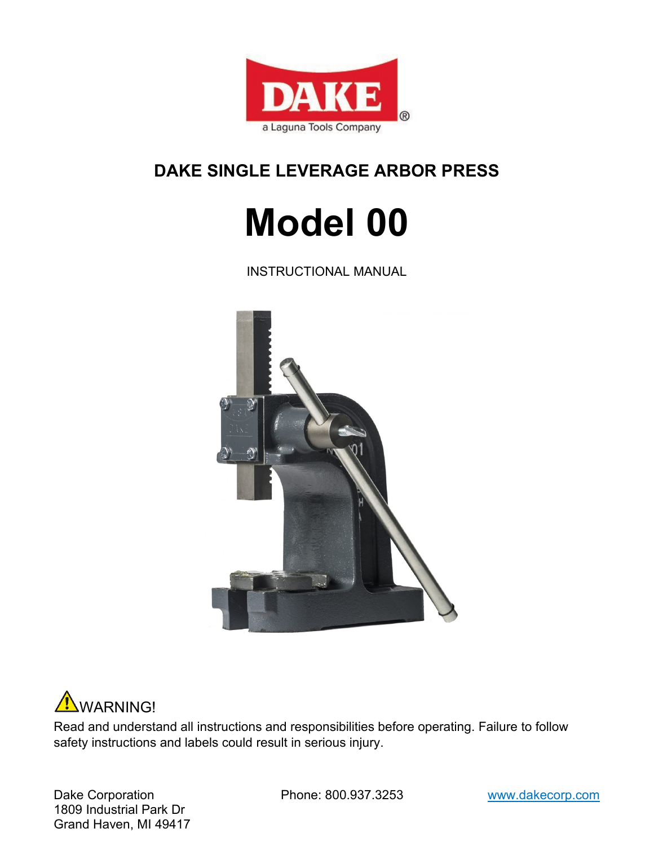

## **DAKE SINGLE LEVERAGE ARBOR PRESS**

# **Model 00**

INSTRUCTIONAL MANUAL





Read and understand all instructions and responsibilities before operating. Failure to follow safety instructions and labels could result in serious injury.

Dake Corporation **Phone: 800.937.3253** www.dakecorp.com 1809 Industrial Park Dr Grand Haven, MI 49417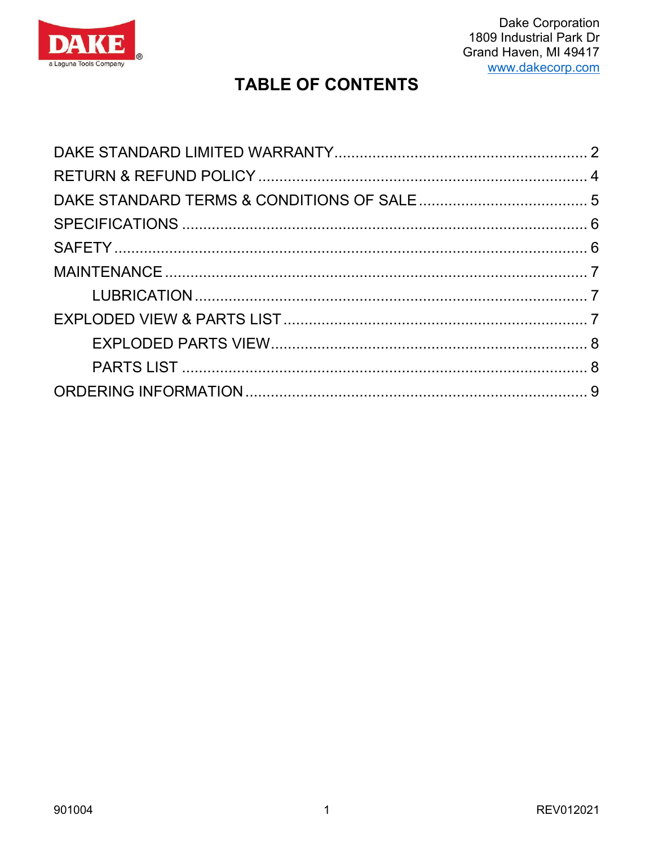

## **TABLE OF CONTENTS**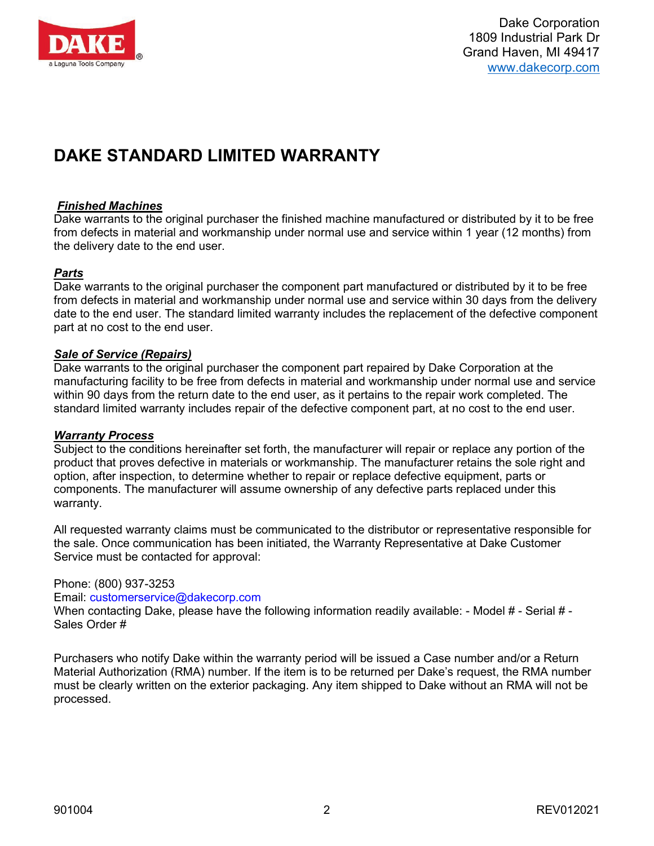

## <span id="page-2-0"></span>**DAKE STANDARD LIMITED WARRANTY**

#### *Finished Machines*

Dake warrants to the original purchaser the finished machine manufactured or distributed by it to be free from defects in material and workmanship under normal use and service within 1 year (12 months) from the delivery date to the end user.

#### *Parts*

Dake warrants to the original purchaser the component part manufactured or distributed by it to be free from defects in material and workmanship under normal use and service within 30 days from the delivery date to the end user. The standard limited warranty includes the replacement of the defective component part at no cost to the end user.

#### *Sale of Service (Repairs)*

Dake warrants to the original purchaser the component part repaired by Dake Corporation at the manufacturing facility to be free from defects in material and workmanship under normal use and service within 90 days from the return date to the end user, as it pertains to the repair work completed. The standard limited warranty includes repair of the defective component part, at no cost to the end user.

#### *Warranty Process*

Subject to the conditions hereinafter set forth, the manufacturer will repair or replace any portion of the product that proves defective in materials or workmanship. The manufacturer retains the sole right and option, after inspection, to determine whether to repair or replace defective equipment, parts or components. The manufacturer will assume ownership of any defective parts replaced under this warranty.

All requested warranty claims must be communicated to the distributor or representative responsible for the sale. Once communication has been initiated, the Warranty Representative at Dake Customer Service must be contacted for approval:

#### Phone: (800) 937-3253

Email: customerservice@dakecorp.com

When contacting Dake, please have the following information readily available: - Model # - Serial # -Sales Order #

Purchasers who notify Dake within the warranty period will be issued a Case number and/or a Return Material Authorization (RMA) number. If the item is to be returned per Dake's request, the RMA number must be clearly written on the exterior packaging. Any item shipped to Dake without an RMA will not be processed.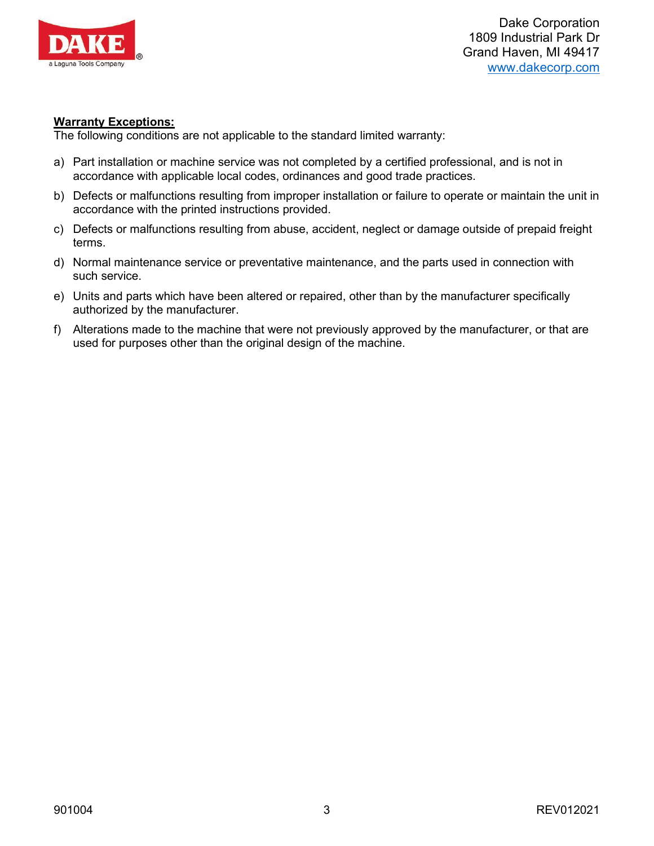

Dake Corporation 1809 Industrial Park Dr Grand Haven, MI 49417 [www.dakecorp.com](http://www.dakecorp.com/)

#### **Warranty Exceptions:**

The following conditions are not applicable to the standard limited warranty:

- a) Part installation or machine service was not completed by a certified professional, and is not in accordance with applicable local codes, ordinances and good trade practices.
- b) Defects or malfunctions resulting from improper installation or failure to operate or maintain the unit in accordance with the printed instructions provided.
- c) Defects or malfunctions resulting from abuse, accident, neglect or damage outside of prepaid freight terms.
- d) Normal maintenance service or preventative maintenance, and the parts used in connection with such service.
- e) Units and parts which have been altered or repaired, other than by the manufacturer specifically authorized by the manufacturer.
- f) Alterations made to the machine that were not previously approved by the manufacturer, or that are used for purposes other than the original design of the machine.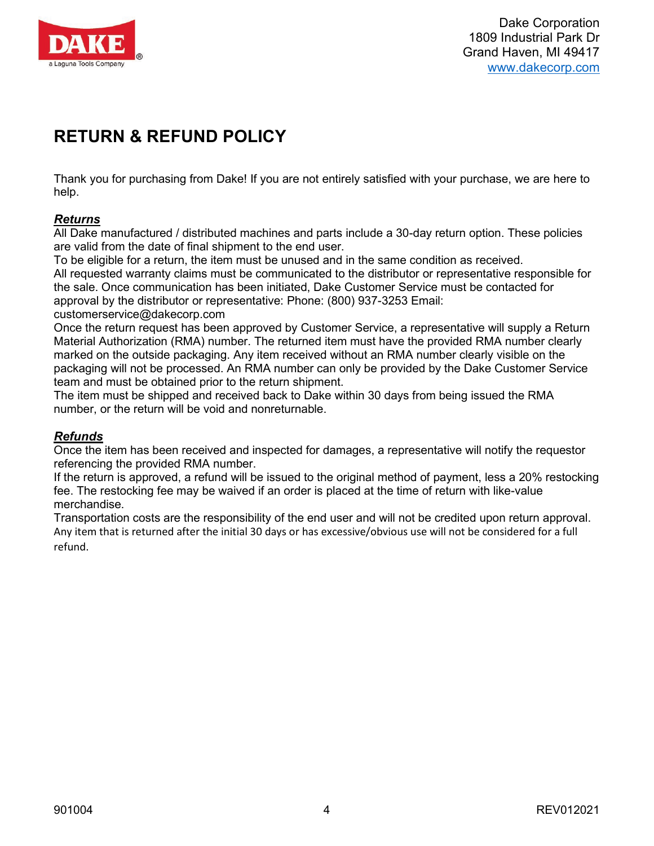

## <span id="page-4-0"></span>**RETURN & REFUND POLICY**

Thank you for purchasing from Dake! If you are not entirely satisfied with your purchase, we are here to help.

#### *Returns*

All Dake manufactured / distributed machines and parts include a 30-day return option. These policies are valid from the date of final shipment to the end user.

To be eligible for a return, the item must be unused and in the same condition as received.

All requested warranty claims must be communicated to the distributor or representative responsible for the sale. Once communication has been initiated, Dake Customer Service must be contacted for approval by the distributor or representative: Phone: (800) 937-3253 Email:

customerservice@dakecorp.com

Once the return request has been approved by Customer Service, a representative will supply a Return Material Authorization (RMA) number. The returned item must have the provided RMA number clearly marked on the outside packaging. Any item received without an RMA number clearly visible on the packaging will not be processed. An RMA number can only be provided by the Dake Customer Service team and must be obtained prior to the return shipment.

The item must be shipped and received back to Dake within 30 days from being issued the RMA number, or the return will be void and nonreturnable.

#### *Refunds*

Once the item has been received and inspected for damages, a representative will notify the requestor referencing the provided RMA number.

If the return is approved, a refund will be issued to the original method of payment, less a 20% restocking fee. The restocking fee may be waived if an order is placed at the time of return with like-value merchandise.

Transportation costs are the responsibility of the end user and will not be credited upon return approval. Any item that is returned after the initial 30 days or has excessive/obvious use will not be considered for a full refund.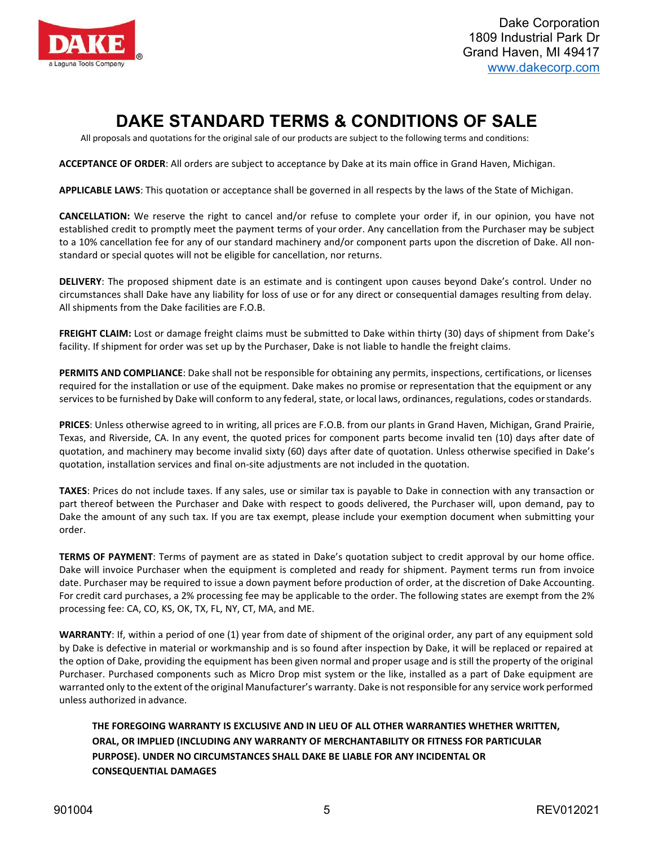

# **DAKE STANDARD TERMS & CONDITIONS OF SALE**

<span id="page-5-0"></span>All proposals and quotations for the original sale of our products are subject to the following terms and conditions:

**ACCEPTANCE OF ORDER**: All orders are subject to acceptance by Dake at its main office in Grand Haven, Michigan.

**APPLICABLE LAWS**: This quotation or acceptance shall be governed in all respects by the laws of the State of Michigan.

**CANCELLATION:** We reserve the right to cancel and/or refuse to complete your order if, in our opinion, you have not established credit to promptly meet the payment terms of your order. Any cancellation from the Purchaser may be subject to a 10% cancellation fee for any of our standard machinery and/or component parts upon the discretion of Dake. All nonstandard or special quotes will not be eligible for cancellation, nor returns.

**DELIVERY**: The proposed shipment date is an estimate and is contingent upon causes beyond Dake's control. Under no circumstances shall Dake have any liability for loss of use or for any direct or consequential damages resulting from delay. All shipments from the Dake facilities are F.O.B.

**FREIGHT CLAIM:** Lost or damage freight claims must be submitted to Dake within thirty (30) days of shipment from Dake's facility. If shipment for order was set up by the Purchaser, Dake is not liable to handle the freight claims.

**PERMITS AND COMPLIANCE**: Dake shall not be responsible for obtaining any permits, inspections, certifications, or licenses required for the installation or use of the equipment. Dake makes no promise or representation that the equipment or any services to be furnished by Dake will conform to any federal, state, or local laws, ordinances, regulations, codes orstandards.

**PRICES**: Unless otherwise agreed to in writing, all prices are F.O.B. from our plants in Grand Haven, Michigan, Grand Prairie, Texas, and Riverside, CA. In any event, the quoted prices for component parts become invalid ten (10) days after date of quotation, and machinery may become invalid sixty (60) days after date of quotation. Unless otherwise specified in Dake's quotation, installation services and final on-site adjustments are not included in the quotation.

**TAXES**: Prices do not include taxes. If any sales, use or similar tax is payable to Dake in connection with any transaction or part thereof between the Purchaser and Dake with respect to goods delivered, the Purchaser will, upon demand, pay to Dake the amount of any such tax. If you are tax exempt, please include your exemption document when submitting your order.

**TERMS OF PAYMENT**: Terms of payment are as stated in Dake's quotation subject to credit approval by our home office. Dake will invoice Purchaser when the equipment is completed and ready for shipment. Payment terms run from invoice date. Purchaser may be required to issue a down payment before production of order, at the discretion of Dake Accounting. For credit card purchases, a 2% processing fee may be applicable to the order. The following states are exempt from the 2% processing fee: CA, CO, KS, OK, TX, FL, NY, CT, MA, and ME.

**WARRANTY**: If, within a period of one (1) year from date of shipment of the original order, any part of any equipment sold by Dake is defective in material or workmanship and is so found after inspection by Dake, it will be replaced or repaired at the option of Dake, providing the equipment has been given normal and proper usage and is still the property of the original Purchaser. Purchased components such as Micro Drop mist system or the like, installed as a part of Dake equipment are warranted only to the extent of the original Manufacturer's warranty. Dake is notresponsible for any service work performed unless authorized in advance.

**THE FOREGOING WARRANTY IS EXCLUSIVE AND IN LIEU OF ALL OTHER WARRANTIES WHETHER WRITTEN, ORAL, OR IMPLIED (INCLUDING ANY WARRANTY OF MERCHANTABILITY OR FITNESS FOR PARTICULAR PURPOSE). UNDER NO CIRCUMSTANCES SHALL DAKE BE LIABLE FOR ANY INCIDENTAL OR CONSEQUENTIAL DAMAGES**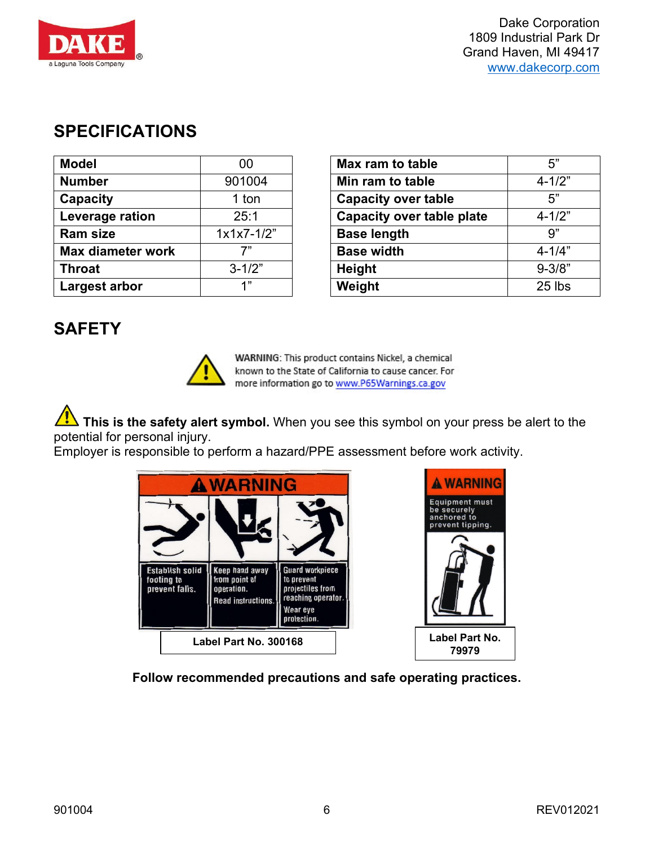Dake Corporation 1809 Industrial Park Dr

# <span id="page-6-0"></span>**SPECIFICATIONS**

| 00           | Max ram to table                 | 5"         |
|--------------|----------------------------------|------------|
| 901004       | Min ram to table                 | $4 - 1/2"$ |
| 1 ton        | <b>Capacity over table</b>       | 5"         |
| 25:1         | <b>Capacity over table plate</b> | $4 - 1/2"$ |
| $1x1x7-1/2"$ | <b>Base length</b>               | 9"         |
| 7"           | <b>Base width</b>                | $4 - 1/4"$ |
| $3 - 1/2"$   | <b>Height</b>                    | $9 - 3/8"$ |
| 1"           | Weight                           | 25 lbs     |
|              |                                  |            |

| 00           | Max ram to table                 | 5"         |
|--------------|----------------------------------|------------|
| 901004       | Min ram to table                 | $4 - 1/2"$ |
| 1 ton        | <b>Capacity over table</b>       | 5"         |
| 25:1         | <b>Capacity over table plate</b> | $4 - 1/2"$ |
| $1x1x7-1/2"$ | <b>Base length</b>               | 9"         |
| 7"           | <b>Base width</b>                | $4 - 1/4"$ |
| $3 - 1/2"$   | <b>Height</b>                    | $9 - 3/8"$ |
| 1"           | Weight                           | 25 lbs     |
|              |                                  |            |

## <span id="page-6-1"></span>**SAFETY**



WARNING: This product contains Nickel, a chemical known to the State of California to cause cancer. For more information go to www.P65Warnings.ca.gov

**This is the safety alert symbol.** When you see this symbol on your press be alert to the potential for personal injury.

Employer is responsible to perform a hazard/PPE assessment before work activity.

| <b>ARNING</b>                                          |                                                                                   |                                                                                                           |  |
|--------------------------------------------------------|-----------------------------------------------------------------------------------|-----------------------------------------------------------------------------------------------------------|--|
|                                                        |                                                                                   |                                                                                                           |  |
| <b>Establish solid</b><br>footing to<br>prevent falls. | <b>Keep hand away</b><br>from point of<br>operation.<br><b>Read instructions.</b> | <b>Guard workpiece</b><br>to prevent<br>projectiles from<br>reaching operator.<br>Wear eye<br>protection. |  |
| Label Part No. 300168                                  |                                                                                   |                                                                                                           |  |



**Follow recommended precautions and safe operating practices.**

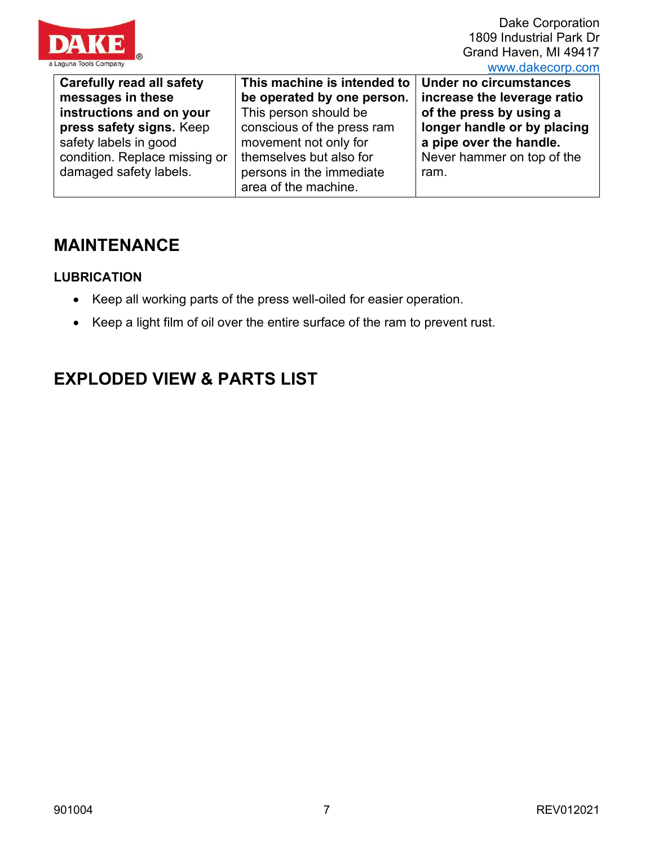

Dake Corporation 1809 Industrial Park Dr Grand Haven, MI 49417 [www.dakecorp.com](http://www.dakecorp.com/)

| <b>Carefully read all safety</b> | This machine is intended to | Under no circumstances      |
|----------------------------------|-----------------------------|-----------------------------|
| messages in these                | be operated by one person.  | increase the leverage ratio |
| instructions and on your         | This person should be       | of the press by using a     |
| press safety signs. Keep         | conscious of the press ram  | longer handle or by placing |
| safety labels in good            | movement not only for       | a pipe over the handle.     |
| condition. Replace missing or    | themselves but also for     | Never hammer on top of the  |
| damaged safety labels.           | persons in the immediate    | ram.                        |
|                                  | area of the machine.        |                             |

## <span id="page-7-0"></span>**MAINTENANCE**

## <span id="page-7-1"></span>**LUBRICATION**

- Keep all working parts of the press well-oiled for easier operation.
- Keep a light film of oil over the entire surface of the ram to prevent rust.

## <span id="page-7-2"></span>**EXPLODED VIEW & PARTS LIST**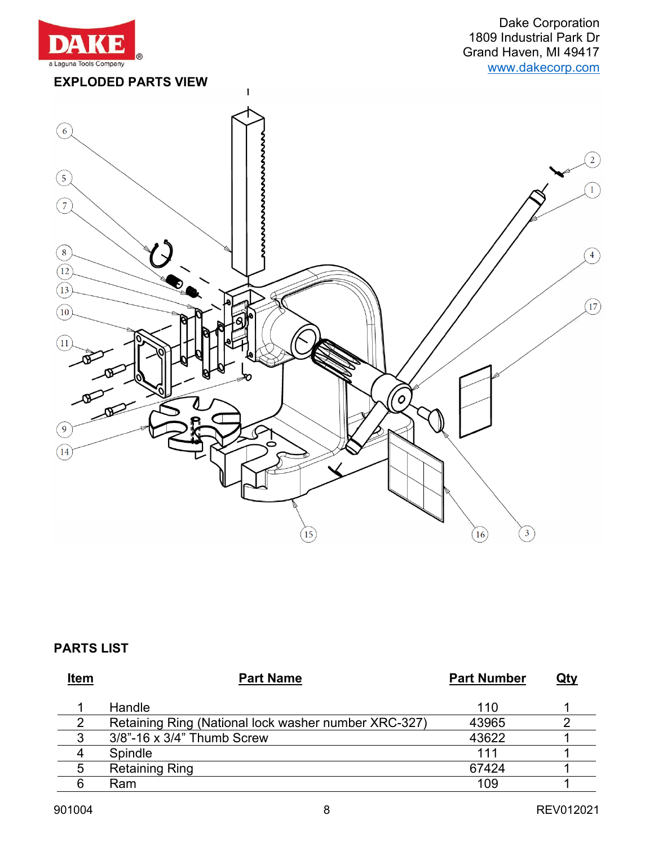

Dake Corporation 1809 Industrial Park Dr Grand Haven, MI 49417 [www.dakecorp.com](http://www.dakecorp.com/)

<span id="page-8-0"></span>

## <span id="page-8-1"></span>**PARTS LIST**

| <b>Item</b> | <b>Part Name</b>                                     | <b>Part Number</b> | <u>Qty</u> |
|-------------|------------------------------------------------------|--------------------|------------|
|             | Handle                                               | 110                |            |
|             | Retaining Ring (National lock washer number XRC-327) | 43965              |            |
| ঽ           | 3/8"-16 x 3/4" Thumb Screw                           | 43622              |            |
| 4           | Spindle                                              | 111                |            |
| 5           | <b>Retaining Ring</b>                                | 67424              |            |
|             | Ram                                                  | 109                |            |